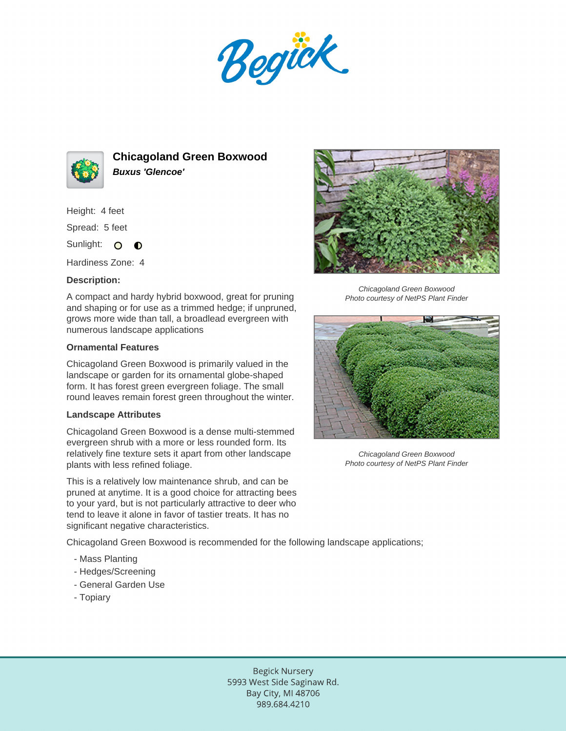Begück.



**Chicagoland Green Boxwood Buxus 'Glencoe'**

Height: 4 feet

Spread: 5 feet

Sunlight: O  $\bullet$ 

Hardiness Zone: 4

## **Description:**

A compact and hardy hybrid boxwood, great for pruning and shaping or for use as a trimmed hedge; if unpruned, grows more wide than tall, a broadlead evergreen with numerous landscape applications

## **Ornamental Features**

Chicagoland Green Boxwood is primarily valued in the landscape or garden for its ornamental globe-shaped form. It has forest green evergreen foliage. The small round leaves remain forest green throughout the winter.

## **Landscape Attributes**

Chicagoland Green Boxwood is a dense multi-stemmed evergreen shrub with a more or less rounded form. Its relatively fine texture sets it apart from other landscape plants with less refined foliage.

This is a relatively low maintenance shrub, and can be pruned at anytime. It is a good choice for attracting bees to your yard, but is not particularly attractive to deer who tend to leave it alone in favor of tastier treats. It has no significant negative characteristics.

Chicagoland Green Boxwood is recommended for the following landscape applications;

- Mass Planting
- Hedges/Screening
- General Garden Use
- Topiary



Chicagoland Green Boxwood Photo courtesy of NetPS Plant Finder



Chicagoland Green Boxwood Photo courtesy of NetPS Plant Finder

**Begick Nursery** 5993 West Side Saginaw Rd. Bay City, MI 48706 989.684.4210